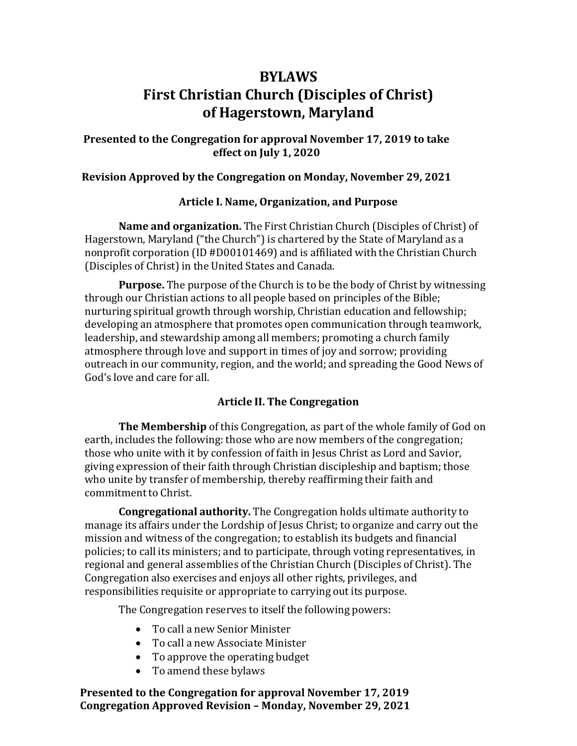# **BYLAWS First Christian Church (Disciples of Christ) of Hagerstown, Maryland**

## **Presented to the Congregation for approval November 17, 2019 to take effect on July 1, 2020**

#### **Revision Approved by the Congregation on Monday, November 29, 2021**

#### **Article I. Name, Organization, and Purpose**

**Name and organization.** The First Christian Church (Disciples of Christ) of Hagerstown, Maryland ("the Church") is chartered by the State of Maryland as a nonprofit corporation (ID #D00101469) and is affiliated with the Christian Church (Disciples of Christ) in the United States and Canada.

**Purpose.** The purpose of the Church is to be the body of Christ by witnessing through our Christian actions to all people based on principles of the Bible; nurturing spiritual growth through worship, Christian education and fellowship; developing an atmosphere that promotes open communication through teamwork, leadership, and stewardship among all members; promoting a church family atmosphere through love and support in times of joy and sorrow; providing outreach in our community, region, and the world; and spreading the Good News of God's love and care for all.

## **Article II. The Congregation**

**The Membership** of this Congregation, as part of the whole family of God on earth, includes the following: those who are now members of the congregation; those who unite with it by confession of faith in Jesus Christ as Lord and Savior, giving expression of their faith through Christian discipleship and baptism; those who unite by transfer of membership, thereby reaffirming their faith and commitment to Christ.

**Congregational authority.** The Congregation holds ultimate authority to manage its affairs under the Lordship of Jesus Christ; to organize and carry out the mission and witness of the congregation; to establish its budgets and financial policies; to call its ministers; and to participate, through voting representatives, in regional and general assemblies of the Christian Church (Disciples of Christ). The Congregation also exercises and enjoys all other rights, privileges, and responsibilities requisite or appropriate to carrying out its purpose.

The Congregation reserves to itself the following powers:

- To call a new Senior Minister
- To call a new Associate Minister
- To approve the operating budget
- To amend these bylaws

**Presented to the Congregation for approval November 17, 2019 Congregation Approved Revision – Monday, November 29, 2021**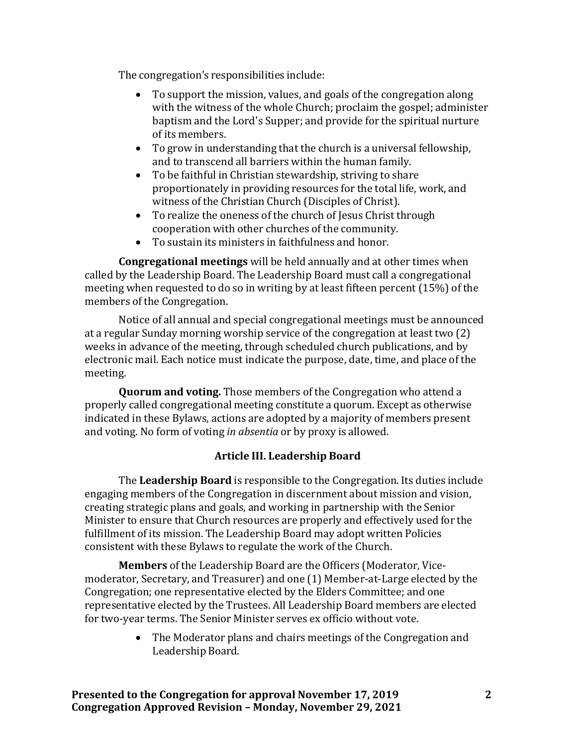The congregation's responsibilities include:

- To support the mission, values, and goals of the congregation along with the witness of the whole Church; proclaim the gospel; administer baptism and the Lord's Supper; and provide for the spiritual nurture of its members.
- To grow in understanding that the church is a universal fellowship, and to transcend all barriers within the human family.
- To be faithful in Christian stewardship, striving to share proportionately in providing resources for the total life, work, and witness of the Christian Church (Disciples of Christ).
- To realize the oneness of the church of Jesus Christ through cooperation with other churches of the community.
- To sustain its ministers in faithfulness and honor.

**Congregational meetings** will be held annually and at other times when called by the Leadership Board. The Leadership Board must call a congregational meeting when requested to do so in writing by at least fifteen percent (15%) of the members of the Congregation.

Notice of all annual and special congregational meetings must be announced at a regular Sunday morning worship service of the congregation at least two (2) weeks in advance of the meeting, through scheduled church publications, and by electronic mail. Each notice must indicate the purpose, date, time, and place of the meeting.

**Quorum and voting.** Those members of the Congregation who attend a properly called congregational meeting constitute a quorum. Except as otherwise indicated in these Bylaws, actions are adopted by a majority of members present and voting. No form of voting *in absentia* or by proxy is allowed.

# **Article III. Leadership Board**

The **Leadership Board** is responsible to the Congregation. Its duties include engaging members of the Congregation in discernment about mission and vision, creating strategic plans and goals, and working in partnership with the Senior Minister to ensure that Church resources are properly and effectively used for the fulfillment of its mission. The Leadership Board may adopt written Policies consistent with these Bylaws to regulate the work of the Church.

**Members** of the Leadership Board are the Officers (Moderator, Vicemoderator, Secretary, and Treasurer) and one (1) Member-at-Large elected by the Congregation; one representative elected by the Elders Committee; and one representative elected by the Trustees. All Leadership Board members are elected for two-year terms. The Senior Minister serves ex officio without vote.

> • The Moderator plans and chairs meetings of the Congregation and Leadership Board.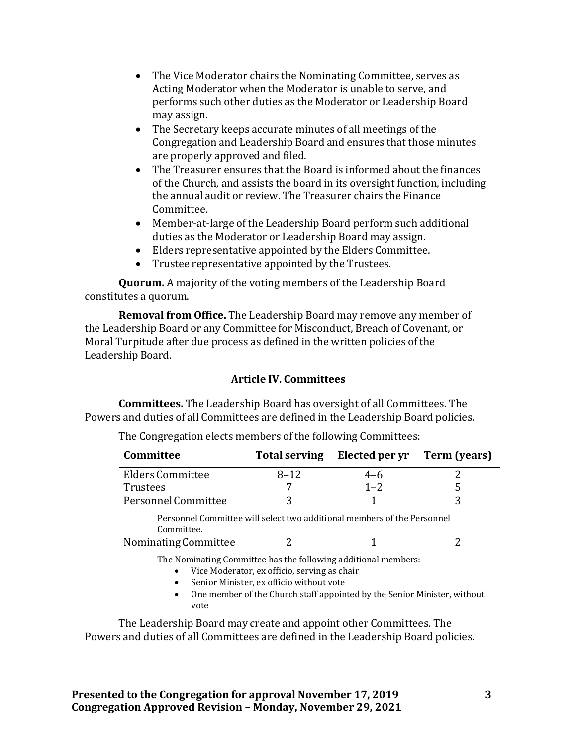- The Vice Moderator chairs the Nominating Committee, serves as Acting Moderator when the Moderator is unable to serve, and performs such other duties as the Moderator or Leadership Board may assign.
- The Secretary keeps accurate minutes of all meetings of the Congregation and Leadership Board and ensures that those minutes are properly approved and filed.
- The Treasurer ensures that the Board is informed about the finances of the Church, and assists the board in its oversight function, including the annual audit or review. The Treasurer chairs the Finance Committee.
- Member-at-large of the Leadership Board perform such additional duties as the Moderator or Leadership Board may assign.
- Elders representative appointed by the Elders Committee.
- Trustee representative appointed by the Trustees.

**Quorum.** A majority of the voting members of the Leadership Board constitutes a quorum.

**Removal from Office.** The Leadership Board may remove any member of the Leadership Board or any Committee for Misconduct, Breach of Covenant, or Moral Turpitude after due process as defined in the written policies of the Leadership Board.

## **Article IV. Committees**

**Committees.** The Leadership Board has oversight of all Committees. The Powers and duties of all Committees are defined in the Leadership Board policies.

| Committee                                                                                                                                                                                                                                                                     | <b>Total serving</b> | Elected per yr | Term (years) |
|-------------------------------------------------------------------------------------------------------------------------------------------------------------------------------------------------------------------------------------------------------------------------------|----------------------|----------------|--------------|
| Elders Committee                                                                                                                                                                                                                                                              | $8 - 12$             | $4 - 6$        |              |
| <b>Trustees</b>                                                                                                                                                                                                                                                               |                      | $1 - 2$        | 5            |
| Personnel Committee                                                                                                                                                                                                                                                           | 3                    |                | 3            |
| Personnel Committee will select two additional members of the Personnel<br>Committee.<br>Nominating Committee                                                                                                                                                                 |                      |                |              |
| The Nominating Committee has the following additional members:<br>Vice Moderator, ex officio, serving as chair<br>$\bullet$<br>Senior Minister, ex officio without vote<br>$\bullet$<br>One member of the Church staff appointed by the Senior Minister, without<br>$\bullet$ |                      |                |              |

The Congregation elects members of the following Committees:

The Leadership Board may create and appoint other Committees. The Powers and duties of all Committees are defined in the Leadership Board policies.

vote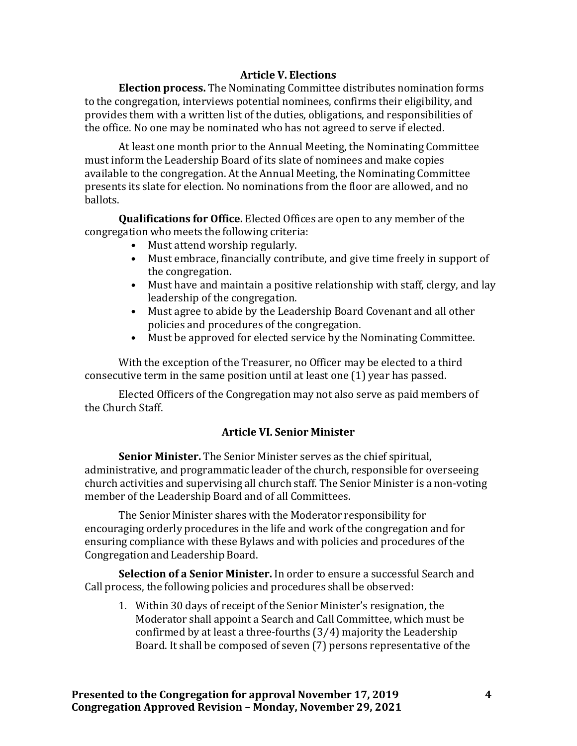## **Article V. Elections**

**Election process.** The Nominating Committee distributes nomination forms to the congregation, interviews potential nominees, confirms their eligibility, and provides them with a written list of the duties, obligations, and responsibilities of the office. No one may be nominated who has not agreed to serve if elected.

At least one month prior to the Annual Meeting, the Nominating Committee must inform the Leadership Board of its slate of nominees and make copies available to the congregation. At the Annual Meeting, the Nominating Committee presents its slate for election. No nominations from the floor are allowed, and no ballots.

**Qualifications for Office.** Elected Offices are open to any member of the congregation who meets the following criteria:

- Must attend worship regularly.
- Must embrace, financially contribute, and give time freely in support of the congregation.
- Must have and maintain a positive relationship with staff, clergy, and lay leadership of the congregation.
- Must agree to abide by the Leadership Board Covenant and all other policies and procedures of the congregation.
- Must be approved for elected service by the Nominating Committee.

With the exception of the Treasurer, no Officer may be elected to a third consecutive term in the same position until at least one (1) year has passed.

Elected Officers of the Congregation may not also serve as paid members of the Church Staff.

# **Article VI. Senior Minister**

**Senior Minister.** The Senior Minister serves as the chief spiritual, administrative, and programmatic leader of the church, responsible for overseeing church activities and supervising all church staff. The Senior Minister is a non-voting member of the Leadership Board and of all Committees.

The Senior Minister shares with the Moderator responsibility for encouraging orderly procedures in the life and work of the congregation and for ensuring compliance with these Bylaws and with policies and procedures of the Congregation and Leadership Board.

**Selection of a Senior Minister.** In order to ensure a successful Search and Call process, the following policies and procedures shall be observed:

1. Within 30 days of receipt of the Senior Minister's resignation, the Moderator shall appoint a Search and Call Committee, which must be confirmed by at least a three-fourths (3⁄4) majority the Leadership Board. It shall be composed of seven (7) persons representative of the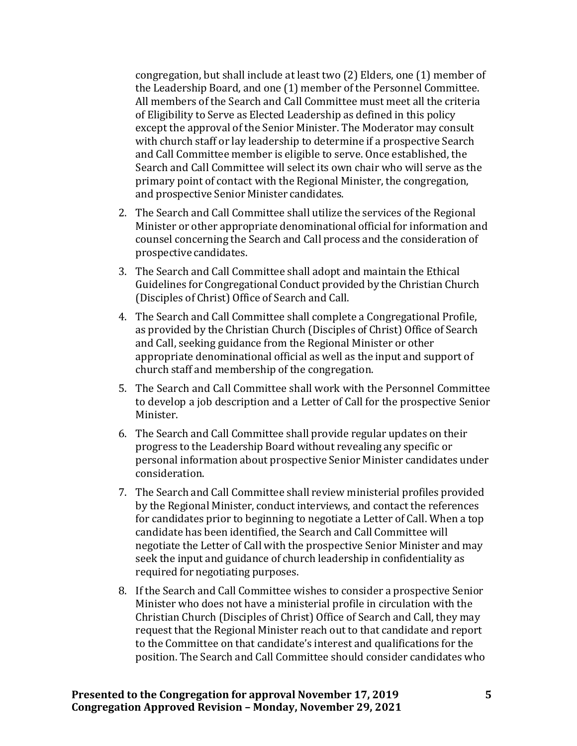congregation, but shall include at least two (2) Elders, one (1) member of the Leadership Board, and one (1) member of the Personnel Committee. All members of the Search and Call Committee must meet all the criteria of Eligibility to Serve as Elected Leadership as defined in this policy except the approval of the Senior Minister. The Moderator may consult with church staff or lay leadership to determine if a prospective Search and Call Committee member is eligible to serve. Once established, the Search and Call Committee will select its own chair who will serve as the primary point of contact with the Regional Minister, the congregation, and prospective Senior Minister candidates.

- 2. The Search and Call Committee shall utilize the services of the Regional Minister or other appropriate denominational official for information and counsel concerning the Search and Call process and the consideration of prospective candidates.
- 3. The Search and Call Committee shall adopt and maintain the Ethical Guidelines for Congregational Conduct provided by the Christian Church (Disciples of Christ) Office of Search and Call.
- 4. The Search and Call Committee shall complete a Congregational Profile, as provided by the Christian Church (Disciples of Christ) Office of Search and Call, seeking guidance from the Regional Minister or other appropriate denominational official as well as the input and support of church staff and membership of the congregation.
- 5. The Search and Call Committee shall work with the Personnel Committee to develop a job description and a Letter of Call for the prospective Senior Minister.
- 6. The Search and Call Committee shall provide regular updates on their progress to the Leadership Board without revealing any specific or personal information about prospective Senior Minister candidates under consideration.
- 7. The Search and Call Committee shall review ministerial profiles provided by the Regional Minister, conduct interviews, and contact the references for candidates prior to beginning to negotiate a Letter of Call. When a top candidate has been identified, the Search and Call Committee will negotiate the Letter of Call with the prospective Senior Minister and may seek the input and guidance of church leadership in confidentiality as required for negotiating purposes.
- 8. If the Search and Call Committee wishes to consider a prospective Senior Minister who does not have a ministerial profile in circulation with the Christian Church (Disciples of Christ) Office of Search and Call, they may request that the Regional Minister reach out to that candidate and report to the Committee on that candidate's interest and qualifications for the position. The Search and Call Committee should consider candidates who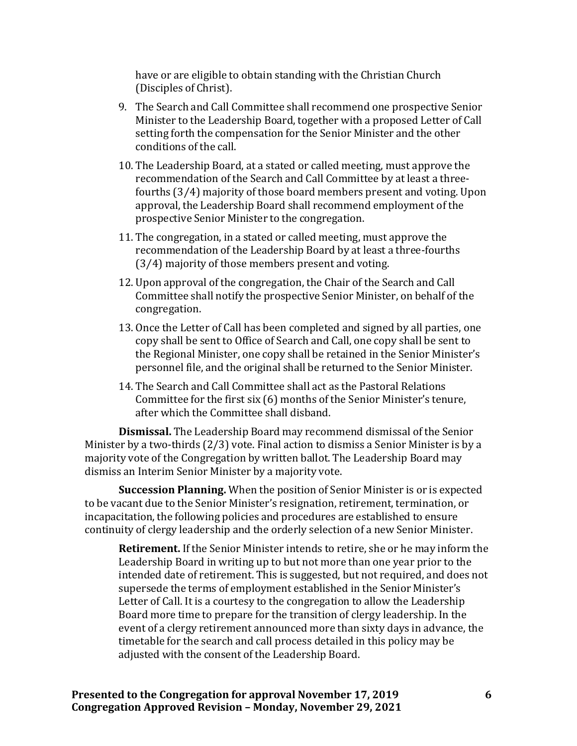have or are eligible to obtain standing with the Christian Church (Disciples of Christ).

- 9. The Search and Call Committee shall recommend one prospective Senior Minister to the Leadership Board, together with a proposed Letter of Call setting forth the compensation for the Senior Minister and the other conditions of the call.
- 10. The Leadership Board, at a stated or called meeting, must approve the recommendation of the Search and Call Committee by at least a threefourths (3⁄4) majority of those board members present and voting. Upon approval, the Leadership Board shall recommend employment of the prospective Senior Minister to the congregation.
- 11. The congregation, in a stated or called meeting, must approve the recommendation of the Leadership Board by at least a three-fourths (3⁄4) majority of those members present and voting.
- 12. Upon approval of the congregation, the Chair of the Search and Call Committee shall notify the prospective Senior Minister, on behalf of the congregation.
- 13. Once the Letter of Call has been completed and signed by all parties, one copy shall be sent to Office of Search and Call, one copy shall be sent to the Regional Minister, one copy shall be retained in the Senior Minister's personnel file, and the original shall be returned to the Senior Minister.
- 14. The Search and Call Committee shall act as the Pastoral Relations Committee for the first six (6) months of the Senior Minister's tenure, after which the Committee shall disband.

**Dismissal.** The Leadership Board may recommend dismissal of the Senior Minister by a two-thirds (2/3) vote. Final action to dismiss a Senior Minister is by a majority vote of the Congregation by written ballot. The Leadership Board may dismiss an Interim Senior Minister by a majority vote.

**Succession Planning.** When the position of Senior Minister is or is expected to be vacant due to the Senior Minister's resignation, retirement, termination, or incapacitation, the following policies and procedures are established to ensure continuity of clergy leadership and the orderly selection of a new Senior Minister.

**Retirement.** If the Senior Minister intends to retire, she or he may inform the Leadership Board in writing up to but not more than one year prior to the intended date of retirement. This is suggested, but not required, and does not supersede the terms of employment established in the Senior Minister's Letter of Call. It is a courtesy to the congregation to allow the Leadership Board more time to prepare for the transition of clergy leadership. In the event of a clergy retirement announced more than sixty days in advance, the timetable for the search and call process detailed in this policy may be adjusted with the consent of the Leadership Board.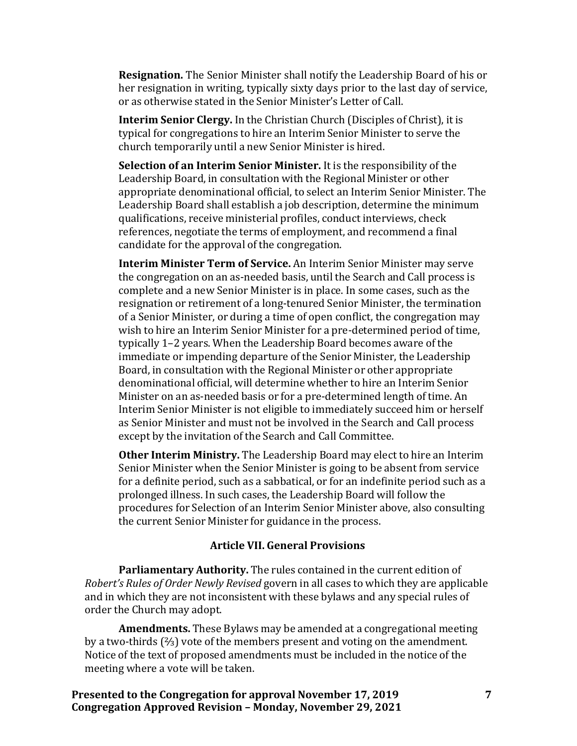**Resignation.** The Senior Minister shall notify the Leadership Board of his or her resignation in writing, typically sixty days prior to the last day of service, or as otherwise stated in the Senior Minister's Letter of Call.

**Interim Senior Clergy.** In the Christian Church (Disciples of Christ), it is typical for congregations to hire an Interim Senior Minister to serve the church temporarily until a new Senior Minister is hired.

**Selection of an Interim Senior Minister.** It is the responsibility of the Leadership Board, in consultation with the Regional Minister or other appropriate denominational official, to select an Interim Senior Minister. The Leadership Board shall establish a job description, determine the minimum qualifications, receive ministerial profiles, conduct interviews, check references, negotiate the terms of employment, and recommend a final candidate for the approval of the congregation.

**Interim Minister Term of Service.** An Interim Senior Minister may serve the congregation on an as-needed basis, until the Search and Call process is complete and a new Senior Minister is in place. In some cases, such as the resignation or retirement of a long-tenured Senior Minister, the termination of a Senior Minister, or during a time of open conflict, the congregation may wish to hire an Interim Senior Minister for a pre-determined period of time, typically 1–2 years. When the Leadership Board becomes aware of the immediate or impending departure of the Senior Minister, the Leadership Board, in consultation with the Regional Minister or other appropriate denominational official, will determine whether to hire an Interim Senior Minister on an as-needed basis or for a pre-determined length of time. An Interim Senior Minister is not eligible to immediately succeed him or herself as Senior Minister and must not be involved in the Search and Call process except by the invitation of the Search and Call Committee.

**Other Interim Ministry.** The Leadership Board may elect to hire an Interim Senior Minister when the Senior Minister is going to be absent from service for a definite period, such as a sabbatical, or for an indefinite period such as a prolonged illness. In such cases, the Leadership Board will follow the procedures for Selection of an Interim Senior Minister above, also consulting the current Senior Minister for guidance in the process.

## **Article VII. General Provisions**

**Parliamentary Authority.** The rules contained in the current edition of *Robert's Rules of Order Newly Revised* govern in all cases to which they are applicable and in which they are not inconsistent with these bylaws and any special rules of order the Church may adopt.

**Amendments.** These Bylaws may be amended at a congregational meeting by a two-thirds (⅔) vote of the members present and voting on the amendment. Notice of the text of proposed amendments must be included in the notice of the meeting where a vote will be taken.